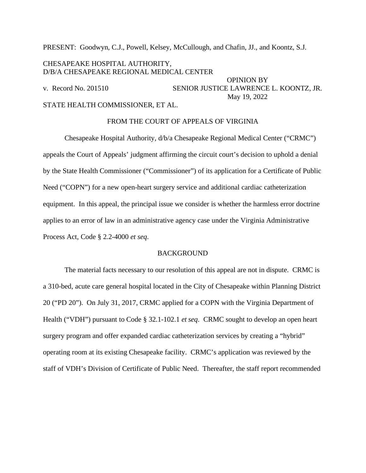PRESENT: Goodwyn, C.J., Powell, Kelsey, McCullough, and Chafin, JJ., and Koontz, S.J.

# CHESAPEAKE HOSPITAL AUTHORITY, D/B/A CHESAPEAKE REGIONAL MEDICAL CENTER

OPINION BY v. Record No. 201510 SENIOR JUSTICE LAWRENCE L. KOONTZ, JR. May 19, 2022 STATE HEALTH COMMISSIONER, ET AL.

#### FROM THE COURT OF APPEALS OF VIRGINIA

Chesapeake Hospital Authority, d/b/a Chesapeake Regional Medical Center ("CRMC") appeals the Court of Appeals' judgment affirming the circuit court's decision to uphold a denial by the State Health Commissioner ("Commissioner") of its application for a Certificate of Public Need ("COPN") for a new open-heart surgery service and additional cardiac catheterization equipment. In this appeal, the principal issue we consider is whether the harmless error doctrine applies to an error of law in an administrative agency case under the Virginia Administrative Process Act, Code § 2.2-4000 *et seq*.

## **BACKGROUND**

The material facts necessary to our resolution of this appeal are not in dispute. CRMC is a 310-bed, acute care general hospital located in the City of Chesapeake within Planning District 20 ("PD 20"). On July 31, 2017, CRMC applied for a COPN with the Virginia Department of Health ("VDH") pursuant to Code § 32.1-102.1 *et seq*. CRMC sought to develop an open heart surgery program and offer expanded cardiac catheterization services by creating a "hybrid" operating room at its existing Chesapeake facility. CRMC's application was reviewed by the staff of VDH's Division of Certificate of Public Need. Thereafter, the staff report recommended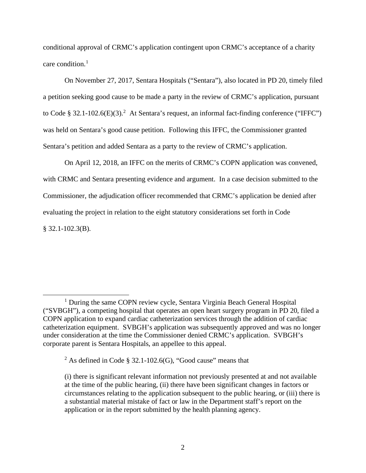conditional approval of CRMC's application contingent upon CRMC's acceptance of a charity care condition. [1](#page-1-0)

On November 27, 2017, Sentara Hospitals ("Sentara"), also located in PD 20, timely filed a petition seeking good cause to be made a party in the review of CRMC's application, pursuant to Code § 3[2](#page-1-1).1-102.6(E)(3).<sup>2</sup> At Sentara's request, an informal fact-finding conference ("IFFC") was held on Sentara's good cause petition. Following this IFFC, the Commissioner granted Sentara's petition and added Sentara as a party to the review of CRMC's application.

On April 12, 2018, an IFFC on the merits of CRMC's COPN application was convened, with CRMC and Sentara presenting evidence and argument. In a case decision submitted to the Commissioner, the adjudication officer recommended that CRMC's application be denied after evaluating the project in relation to the eight statutory considerations set forth in Code § 32.1-102.3(B).

<span id="page-1-0"></span><sup>1</sup> During the same COPN review cycle, Sentara Virginia Beach General Hospital ("SVBGH"), a competing hospital that operates an open heart surgery program in PD 20, filed a COPN application to expand cardiac catheterization services through the addition of cardiac catheterization equipment. SVBGH's application was subsequently approved and was no longer under consideration at the time the Commissioner denied CRMC's application. SVBGH's corporate parent is Sentara Hospitals, an appellee to this appeal.

<span id="page-1-1"></span><sup>&</sup>lt;sup>2</sup> As defined in Code § 32.1-102.6(G), "Good cause" means that

<sup>(</sup>i) there is significant relevant information not previously presented at and not available at the time of the public hearing, (ii) there have been significant changes in factors or circumstances relating to the application subsequent to the public hearing, or (iii) there is a substantial material mistake of fact or law in the Department staff's report on the application or in the report submitted by the health planning agency.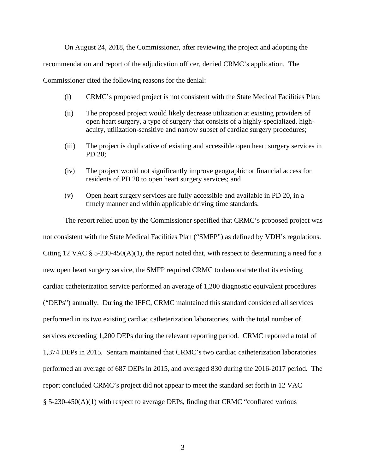On August 24, 2018, the Commissioner, after reviewing the project and adopting the

recommendation and report of the adjudication officer, denied CRMC's application. The

Commissioner cited the following reasons for the denial:

- (i) CRMC's proposed project is not consistent with the State Medical Facilities Plan;
- (ii) The proposed project would likely decrease utilization at existing providers of open heart surgery, a type of surgery that consists of a highly-specialized, highacuity, utilization-sensitive and narrow subset of cardiac surgery procedures;
- (iii) The project is duplicative of existing and accessible open heart surgery services in PD 20;
- (iv) The project would not significantly improve geographic or financial access for residents of PD 20 to open heart surgery services; and
- (v) Open heart surgery services are fully accessible and available in PD 20, in a timely manner and within applicable driving time standards.

The report relied upon by the Commissioner specified that CRMC's proposed project was not consistent with the State Medical Facilities Plan ("SMFP") as defined by VDH's regulations. Citing 12 VAC § 5-230-450(A)(1), the report noted that, with respect to determining a need for a new open heart surgery service, the SMFP required CRMC to demonstrate that its existing cardiac catheterization service performed an average of 1,200 diagnostic equivalent procedures ("DEPs") annually. During the IFFC, CRMC maintained this standard considered all services performed in its two existing cardiac catheterization laboratories, with the total number of services exceeding 1,200 DEPs during the relevant reporting period. CRMC reported a total of 1,374 DEPs in 2015. Sentara maintained that CRMC's two cardiac catheterization laboratories performed an average of 687 DEPs in 2015, and averaged 830 during the 2016-2017 period. The report concluded CRMC's project did not appear to meet the standard set forth in 12 VAC § 5-230-450(A)(1) with respect to average DEPs, finding that CRMC "conflated various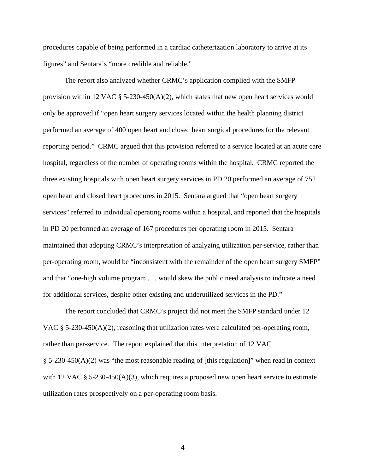procedures capable of being performed in a cardiac catheterization laboratory to arrive at its figures" and Sentara's "more credible and reliable."

The report also analyzed whether CRMC's application complied with the SMFP provision within 12 VAC  $\S$  5-230-450(A)(2), which states that new open heart services would only be approved if "open heart surgery services located within the health planning district performed an average of 400 open heart and closed heart surgical procedures for the relevant reporting period." CRMC argued that this provision referred to a service located at an acute care hospital, regardless of the number of operating rooms within the hospital. CRMC reported the three existing hospitals with open heart surgery services in PD 20 performed an average of 752 open heart and closed heart procedures in 2015. Sentara argued that "open heart surgery services" referred to individual operating rooms within a hospital, and reported that the hospitals in PD 20 performed an average of 167 procedures per operating room in 2015. Sentara maintained that adopting CRMC's interpretation of analyzing utilization per-service, rather than per-operating room, would be "inconsistent with the remainder of the open heart surgery SMFP" and that "one-high volume program . . . would skew the public need analysis to indicate a need for additional services, despite other existing and underutilized services in the PD."

The report concluded that CRMC's project did not meet the SMFP standard under 12 VAC  $\S$  5-230-450(A)(2), reasoning that utilization rates were calculated per-operating room, rather than per-service. The report explained that this interpretation of 12 VAC  $\S 5-230-450(A)(2)$  was "the most reasonable reading of [this regulation]" when read in context with 12 VAC  $\S$  5-230-450(A)(3), which requires a proposed new open heart service to estimate utilization rates prospectively on a per-operating room basis.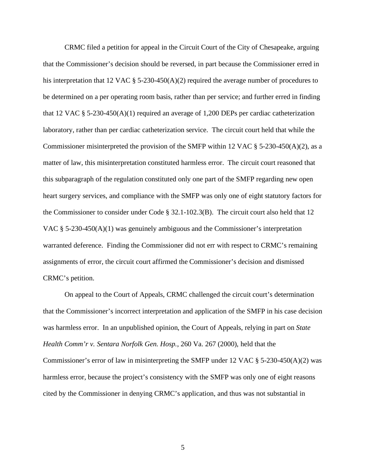CRMC filed a petition for appeal in the Circuit Court of the City of Chesapeake, arguing that the Commissioner's decision should be reversed, in part because the Commissioner erred in his interpretation that 12 VAC  $\S$  5-230-450(A)(2) required the average number of procedures to be determined on a per operating room basis, rather than per service; and further erred in finding that 12 VAC § 5-230-450(A)(1) required an average of 1,200 DEPs per cardiac catheterization laboratory, rather than per cardiac catheterization service. The circuit court held that while the Commissioner misinterpreted the provision of the SMFP within 12 VAC  $\S$  5-230-450(A)(2), as a matter of law, this misinterpretation constituted harmless error. The circuit court reasoned that this subparagraph of the regulation constituted only one part of the SMFP regarding new open heart surgery services, and compliance with the SMFP was only one of eight statutory factors for the Commissioner to consider under Code § 32.1-102.3(B). The circuit court also held that 12 VAC § 5-230-450(A)(1) was genuinely ambiguous and the Commissioner's interpretation warranted deference. Finding the Commissioner did not err with respect to CRMC's remaining assignments of error, the circuit court affirmed the Commissioner's decision and dismissed CRMC's petition.

On appeal to the Court of Appeals, CRMC challenged the circuit court's determination that the Commissioner's incorrect interpretation and application of the SMFP in his case decision was harmless error. In an unpublished opinion, the Court of Appeals, relying in part on *State Health Comm'r v. Sentara Norfolk Gen. Hosp.*, 260 Va. 267 (2000), held that the Commissioner's error of law in misinterpreting the SMFP under 12 VAC § 5-230-450(A)(2) was harmless error, because the project's consistency with the SMFP was only one of eight reasons cited by the Commissioner in denying CRMC's application, and thus was not substantial in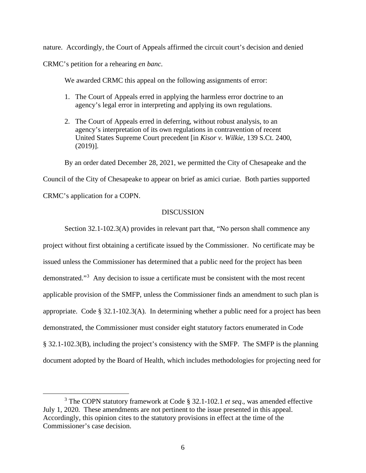nature. Accordingly, the Court of Appeals affirmed the circuit court's decision and denied CRMC's petition for a rehearing *en banc*.

We awarded CRMC this appeal on the following assignments of error:

- 1. The Court of Appeals erred in applying the harmless error doctrine to an agency's legal error in interpreting and applying its own regulations.
- 2. The Court of Appeals erred in deferring, without robust analysis, to an agency's interpretation of its own regulations in contravention of recent United States Supreme Court precedent [in *Kisor v. Wilkie*, 139 S.Ct. 2400, (2019)].

By an order dated December 28, 2021, we permitted the City of Chesapeake and the

Council of the City of Chesapeake to appear on brief as amici curiae. Both parties supported

CRMC's application for a COPN.

## **DISCUSSION**

Section 32.1-102.3(A) provides in relevant part that, "No person shall commence any project without first obtaining a certificate issued by the Commissioner. No certificate may be issued unless the Commissioner has determined that a public need for the project has been demonstrated."<sup>[3](#page-5-0)</sup> Any decision to issue a certificate must be consistent with the most recent applicable provision of the SMFP, unless the Commissioner finds an amendment to such plan is appropriate. Code § 32.1-102.3(A). In determining whether a public need for a project has been demonstrated, the Commissioner must consider eight statutory factors enumerated in Code § 32.1-102.3(B), including the project's consistency with the SMFP. The SMFP is the planning document adopted by the Board of Health, which includes methodologies for projecting need for

<span id="page-5-0"></span><sup>3</sup> The COPN statutory framework at Code § 32.1-102.1 *et seq*., was amended effective July 1, 2020. These amendments are not pertinent to the issue presented in this appeal. Accordingly, this opinion cites to the statutory provisions in effect at the time of the Commissioner's case decision.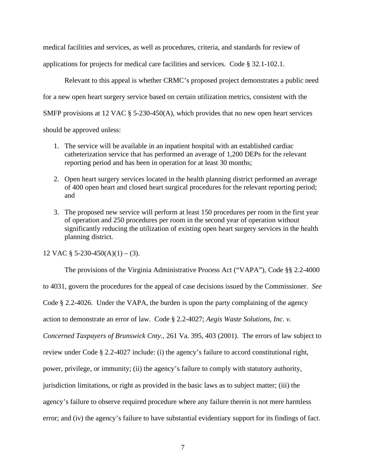medical facilities and services, as well as procedures, criteria, and standards for review of applications for projects for medical care facilities and services. Code § 32.1-102.1.

Relevant to this appeal is whether CRMC's proposed project demonstrates a public need for a new open heart surgery service based on certain utilization metrics, consistent with the SMFP provisions at 12 VAC § 5-230-450(A), which provides that no new open heart services should be approved unless:

- 1. The service will be available in an inpatient hospital with an established cardiac catheterization service that has performed an average of 1,200 DEPs for the relevant reporting period and has been in operation for at least 30 months;
- 2. Open heart surgery services located in the health planning district performed an average of 400 open heart and closed heart surgical procedures for the relevant reporting period; and
- 3. The proposed new service will perform at least 150 procedures per room in the first year of operation and 250 procedures per room in the second year of operation without significantly reducing the utilization of existing open heart surgery services in the health planning district.

12 VAC  $\S$  5-230-450(A)(1) – (3).

The provisions of the Virginia Administrative Process Act ("VAPA"), Code §§ 2.2-4000

to 4031, govern the procedures for the appeal of case decisions issued by the Commissioner. *See*

Code § 2.2-4026. Under the VAPA, the burden is upon the party complaining of the agency

action to demonstrate an error of law. Code § 2.2-4027; *Aegis Waste Solutions, Inc. v.* 

*Concerned Taxpayers of Brunswick Cnty.*, 261 Va. 395, 403 (2001). The errors of law subject to

review under Code § 2.2-4027 include: (i) the agency's failure to accord constitutional right,

power, privilege, or immunity; (ii) the agency's failure to comply with statutory authority,

jurisdiction limitations, or right as provided in the basic laws as to subject matter; (iii) the

agency's failure to observe required procedure where any failure therein is not mere harmless

error; and (iv) the agency's failure to have substantial evidentiary support for its findings of fact.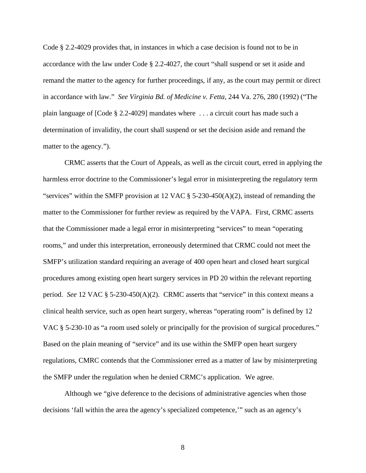Code § 2.2-4029 provides that, in instances in which a case decision is found not to be in accordance with the law under Code § 2.2-4027, the court "shall suspend or set it aside and remand the matter to the agency for further proceedings, if any, as the court may permit or direct in accordance with law." *See Virginia Bd. of Medicine v. Fetta*, 244 Va. 276, 280 (1992) ("The plain language of [Code § 2.2-4029] mandates where . . . a circuit court has made such a determination of invalidity, the court shall suspend or set the decision aside and remand the matter to the agency.").

CRMC asserts that the Court of Appeals, as well as the circuit court, erred in applying the harmless error doctrine to the Commissioner's legal error in misinterpreting the regulatory term "services" within the SMFP provision at 12 VAC  $\S$  5-230-450(A)(2), instead of remanding the matter to the Commissioner for further review as required by the VAPA. First, CRMC asserts that the Commissioner made a legal error in misinterpreting "services" to mean "operating rooms," and under this interpretation, erroneously determined that CRMC could not meet the SMFP's utilization standard requiring an average of 400 open heart and closed heart surgical procedures among existing open heart surgery services in PD 20 within the relevant reporting period. *See* 12 VAC § 5-230-450(A)(2). CRMC asserts that "service" in this context means a clinical health service, such as open heart surgery, whereas "operating room" is defined by 12 VAC § 5-230-10 as "a room used solely or principally for the provision of surgical procedures." Based on the plain meaning of "service" and its use within the SMFP open heart surgery regulations, CMRC contends that the Commissioner erred as a matter of law by misinterpreting the SMFP under the regulation when he denied CRMC's application. We agree.

Although we "give deference to the decisions of administrative agencies when those decisions 'fall within the area the agency's specialized competence,'" such as an agency's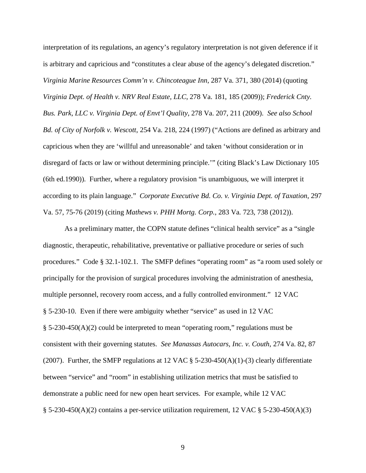interpretation of its regulations, an agency's regulatory interpretation is not given deference if it is arbitrary and capricious and "constitutes a clear abuse of the agency's delegated discretion." *Virginia Marine Resources Comm'n v. Chincoteague Inn*, 287 Va. 371, 380 (2014) (quoting *Virginia Dept. of Health v. NRV Real Estate, LLC*, 278 Va. 181, 185 (2009)); *Frederick Cnty. Bus. Park, LLC v. Virginia Dept. of Envt'l Quality*, 278 Va. 207, 211 (2009). *See also School Bd. of City of Norfolk v. Wescott*, 254 Va. 218, 224 (1997) ("Actions are defined as arbitrary and capricious when they are 'willful and unreasonable' and taken 'without consideration or in disregard of facts or law or without determining principle.'" (citing Black's Law Dictionary 105 (6th ed.1990)). Further, where a regulatory provision "is unambiguous, we will interpret it according to its plain language." *Corporate Executive Bd. Co. v. Virginia Dept. of Taxation*, 297 Va. 57, 75-76 (2019) (citing *Mathews v. PHH Mortg. Corp.*, 283 Va. 723, 738 (2012)).

As a preliminary matter, the COPN statute defines "clinical health service" as a "single diagnostic, therapeutic, rehabilitative, preventative or palliative procedure or series of such procedures." Code § 32.1-102.1. The SMFP defines "operating room" as "a room used solely or principally for the provision of surgical procedures involving the administration of anesthesia, multiple personnel, recovery room access, and a fully controlled environment." 12 VAC § 5-230-10. Even if there were ambiguity whether "service" as used in 12 VAC § 5-230-450(A)(2) could be interpreted to mean "operating room," regulations must be consistent with their governing statutes. *See Manassas Autocars, Inc. v. Couth*, 274 Va. 82, 87 (2007). Further, the SMFP regulations at 12 VAC  $\S$  5-230-450(A)(1)-(3) clearly differentiate between "service" and "room" in establishing utilization metrics that must be satisfied to demonstrate a public need for new open heart services. For example, while 12 VAC § 5-230-450(A)(2) contains a per-service utilization requirement, 12 VAC § 5-230-450(A)(3)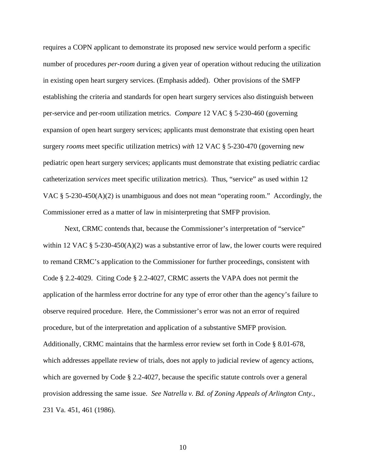requires a COPN applicant to demonstrate its proposed new service would perform a specific number of procedures *per-room* during a given year of operation without reducing the utilization in existing open heart surgery services. (Emphasis added). Other provisions of the SMFP establishing the criteria and standards for open heart surgery services also distinguish between per-service and per-room utilization metrics. *Compare* 12 VAC § 5-230-460 (governing expansion of open heart surgery services; applicants must demonstrate that existing open heart surgery *rooms* meet specific utilization metrics) *with* 12 VAC § 5-230-470 (governing new pediatric open heart surgery services; applicants must demonstrate that existing pediatric cardiac catheterization *services* meet specific utilization metrics). Thus, "service" as used within 12 VAC  $\S$  5-230-450(A)(2) is unambiguous and does not mean "operating room." Accordingly, the Commissioner erred as a matter of law in misinterpreting that SMFP provision.

Next, CRMC contends that, because the Commissioner's interpretation of "service" within 12 VAC § 5-230-450(A)(2) was a substantive error of law, the lower courts were required to remand CRMC's application to the Commissioner for further proceedings, consistent with Code § 2.2-4029. Citing Code § 2.2-4027, CRMC asserts the VAPA does not permit the application of the harmless error doctrine for any type of error other than the agency's failure to observe required procedure. Here, the Commissioner's error was not an error of required procedure, but of the interpretation and application of a substantive SMFP provision. Additionally, CRMC maintains that the harmless error review set forth in Code § 8.01-678, which addresses appellate review of trials, does not apply to judicial review of agency actions, which are governed by Code § 2.2-4027, because the specific statute controls over a general provision addressing the same issue. *See Natrella v. Bd. of Zoning Appeals of Arlington Cnty.*, 231 Va. 451, 461 (1986).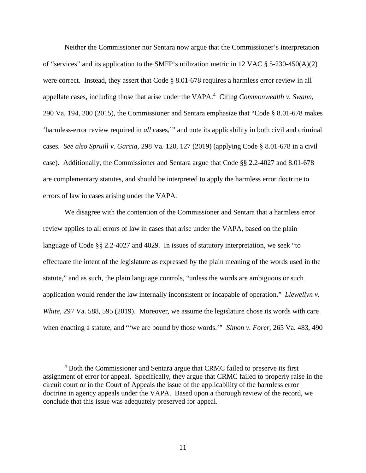Neither the Commissioner nor Sentara now argue that the Commissioner's interpretation of "services" and its application to the SMFP's utilization metric in 12 VAC § 5-230-450(A)(2) were correct. Instead, they assert that Code § 8.01-678 requires a harmless error review in all appellate cases, including those that arise under the VAPA. [4](#page-10-0) Citing *Commonwealth v. Swann*, 290 Va. 194, 200 (2015), the Commissioner and Sentara emphasize that "Code § 8.01-678 makes 'harmless-error review required in *all* cases,'" and note its applicability in both civil and criminal cases. *See also Spruill v. Garcia*, 298 Va. 120, 127 (2019) (applying Code § 8.01-678 in a civil case). Additionally, the Commissioner and Sentara argue that Code §§ 2.2-4027 and 8.01-678 are complementary statutes, and should be interpreted to apply the harmless error doctrine to errors of law in cases arising under the VAPA.

We disagree with the contention of the Commissioner and Sentara that a harmless error review applies to all errors of law in cases that arise under the VAPA, based on the plain language of Code §§ 2.2-4027 and 4029. In issues of statutory interpretation, we seek "to effectuate the intent of the legislature as expressed by the plain meaning of the words used in the statute," and as such, the plain language controls, "unless the words are ambiguous or such application would render the law internally inconsistent or incapable of operation." *Llewellyn v. White*, 297 Va. 588, 595 (2019). Moreover, we assume the legislature chose its words with care when enacting a statute, and "'we are bound by those words.'" *Simon v. Forer*, 265 Va. 483, 490

<span id="page-10-0"></span><sup>4</sup> Both the Commissioner and Sentara argue that CRMC failed to preserve its first assignment of error for appeal. Specifically, they argue that CRMC failed to properly raise in the circuit court or in the Court of Appeals the issue of the applicability of the harmless error doctrine in agency appeals under the VAPA. Based upon a thorough review of the record, we conclude that this issue was adequately preserved for appeal.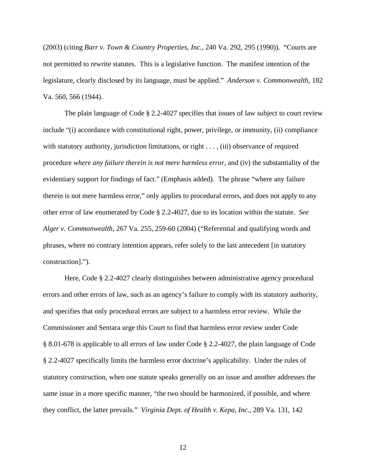(2003) (citing *Barr v. Town & Country Properties, Inc.*, 240 Va. 292, 295 (1990)). "Courts are not permitted to rewrite statutes. This is a legislative function. The manifest intention of the legislature, clearly disclosed by its language, must be applied." *Anderson v. Commonwealth*, 182 Va. 560, 566 (1944).

The plain language of Code § 2.2-4027 specifies that issues of law subject to court review include "(i) accordance with constitutional right, power, privilege, or immunity, (ii) compliance with statutory authority, jurisdiction limitations, or right . . . , (iii) observance of required procedure *where any failure therein is not mere harmless error*, and (iv) the substantiality of the evidentiary support for findings of fact." (Emphasis added). The phrase "where any failure therein is not mere harmless error," only applies to procedural errors, and does not apply to any other error of law enumerated by Code § 2.2-4027, due to its location within the statute. *See Alger v. Commonwealth*, 267 Va. 255, 259-60 (2004) ("Referential and qualifying words and phrases, where no contrary intention appears, refer solely to the last antecedent [in statutory construction].").

Here, Code § 2.2-4027 clearly distinguishes between administrative agency procedural errors and other errors of law, such as an agency's failure to comply with its statutory authority, and specifies that only procedural errors are subject to a harmless error review. While the Commissioner and Sentara urge this Court to find that harmless error review under Code § 8.01-678 is applicable to all errors of law under Code § 2.2-4027, the plain language of Code § 2.2-4027 specifically limits the harmless error doctrine's applicability. Under the rules of statutory construction, when one statute speaks generally on an issue and another addresses the same issue in a more specific manner, "the two should be harmonized, if possible, and where they conflict, the latter prevails." *Virginia Dept. of Health v. Kepa, Inc.*, 289 Va. 131, 142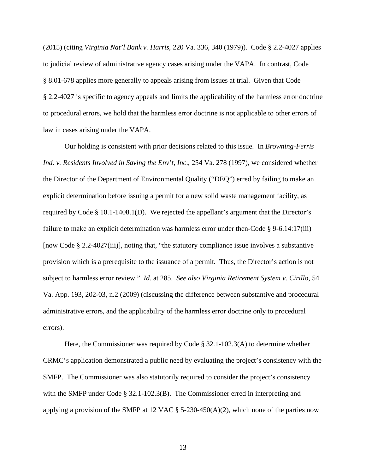(2015) (citing *Virginia Nat'l Bank v. Harris*, 220 Va. 336, 340 (1979)). Code § 2.2-4027 applies to judicial review of administrative agency cases arising under the VAPA. In contrast, Code § 8.01-678 applies more generally to appeals arising from issues at trial. Given that Code § 2.2-4027 is specific to agency appeals and limits the applicability of the harmless error doctrine to procedural errors, we hold that the harmless error doctrine is not applicable to other errors of law in cases arising under the VAPA.

Our holding is consistent with prior decisions related to this issue. In *Browning-Ferris Ind. v. Residents Involved in Saving the Env't, Inc*., 254 Va. 278 (1997), we considered whether the Director of the Department of Environmental Quality ("DEQ") erred by failing to make an explicit determination before issuing a permit for a new solid waste management facility, as required by Code § 10.1-1408.1(D). We rejected the appellant's argument that the Director's failure to make an explicit determination was harmless error under then-Code § 9-6.14:17(iii) [now Code § 2.2-4027(iii)], noting that, "the statutory compliance issue involves a substantive provision which is a prerequisite to the issuance of a permit. Thus, the Director's action is not subject to harmless error review." *Id.* at 285. *See also Virginia Retirement System v. Cirillo*, 54 Va. App. 193, 202-03, n.2 (2009) (discussing the difference between substantive and procedural administrative errors, and the applicability of the harmless error doctrine only to procedural errors).

Here, the Commissioner was required by Code  $\S 32.1-102.3(A)$  to determine whether CRMC's application demonstrated a public need by evaluating the project's consistency with the SMFP. The Commissioner was also statutorily required to consider the project's consistency with the SMFP under Code § 32.1-102.3(B). The Commissioner erred in interpreting and applying a provision of the SMFP at 12 VAC  $\S$  5-230-450(A)(2), which none of the parties now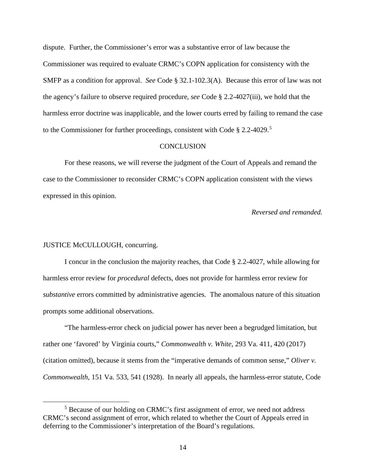dispute. Further, the Commissioner's error was a substantive error of law because the Commissioner was required to evaluate CRMC's COPN application for consistency with the SMFP as a condition for approval. *See* Code § 32.1-102.3(A). Because this error of law was not the agency's failure to observe required procedure, *see* Code § 2.2-4027(iii), we hold that the harmless error doctrine was inapplicable, and the lower courts erred by failing to remand the case to the Commissioner for further proceedings, consistent with Code § 2.2-4029.<sup>[5](#page-13-0)</sup>

#### **CONCLUSION**

For these reasons, we will reverse the judgment of the Court of Appeals and remand the case to the Commissioner to reconsider CRMC's COPN application consistent with the views expressed in this opinion.

*Reversed and remanded.*

### JUSTICE McCULLOUGH, concurring.

I concur in the conclusion the majority reaches, that Code § 2.2-4027, while allowing for harmless error review for *procedural* defects, does not provide for harmless error review for *substantive* errors committed by administrative agencies. The anomalous nature of this situation prompts some additional observations.

"The harmless-error check on judicial power has never been a begrudged limitation, but rather one 'favored' by Virginia courts," *Commonwealth v. White*, 293 Va. 411, 420 (2017) (citation omitted), because it stems from the "imperative demands of common sense," *Oliver v. Commonwealth*, 151 Va. 533, 541 (1928). In nearly all appeals, the harmless-error statute, Code

<span id="page-13-0"></span><sup>5</sup> Because of our holding on CRMC's first assignment of error, we need not address CRMC's second assignment of error, which related to whether the Court of Appeals erred in deferring to the Commissioner's interpretation of the Board's regulations.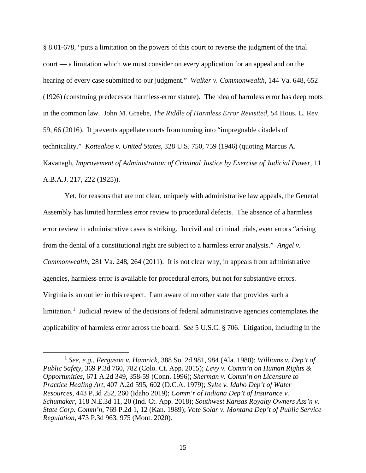§ 8.01-678, "puts a limitation on the powers of this court to reverse the judgment of the trial court — a limitation which we must consider on every application for an appeal and on the hearing of every case submitted to our judgment." *Walker v. Commonwealth*, 144 Va. 648, 652 (1926) (construing predecessor harmless-error statute). The idea of harmless error has deep roots in the common law. John M. Graebe, *The Riddle of Harmless Error Revisited*, 54 Hous. L. Rev. 59, 66 (2016). It prevents appellate courts from turning into "impregnable citadels of technicality." *Kotteakos v. United States*, 328 U.S. 750, 759 (1946) (quoting Marcus A. Kavanagh, *Improvement of Administration of Criminal Justice by Exercise of Judicial Power*, 11 A.B.A.J. 217, 222 (1925)).

Yet, for reasons that are not clear, uniquely with administrative law appeals, the General Assembly has limited harmless error review to procedural defects. The absence of a harmless error review in administrative cases is striking. In civil and criminal trials, even errors "arising from the denial of a constitutional right are subject to a harmless error analysis." *Angel v. Commonwealth*, 281 Va. 248, 264 (2011). It is not clear why, in appeals from administrative agencies, harmless error is available for procedural errors, but not for substantive errors. Virginia is an outlier in this respect. I am aware of no other state that provides such a limitation.<sup>[1](#page-14-0)</sup> Judicial review of the decisions of federal administrative agencies contemplates the applicability of harmless error across the board. *See* 5 U.S.C. § 706. Litigation, including in the

<span id="page-14-0"></span><sup>1</sup> *See, e.g.*, *Ferguson v. Hamrick*, 388 So. 2d 981, 984 (Ala. 1980); *Williams v. Dep't of Public Safety*, 369 P.3d 760, 782 (Colo. Ct. App. 2015); *Levy v. Comm'n on Human Rights & Opportunities*, 671 A.2d 349, 358-59 (Conn. 1996); *Sherman v. Comm'n on Licensure to Practice Healing Art*, 407 A.2d 595, 602 (D.C.A. 1979); *Sylte v. Idaho Dep't of Water Resources*, 443 P.3d 252, 260 (Idaho 2019); *Comm'r of Indiana Dep't of Insurance v. Schumaker*, 118 N.E.3d 11, 20 (Ind. Ct. App. 2018); *Southwest Kansas Royalty Owners Ass'n v. State Corp. Comm'n*, 769 P.2d 1, 12 (Kan. 1989); *Vote Solar v. Montana Dep't of Public Service Regulation*, 473 P.3d 963, 975 (Mont. 2020).